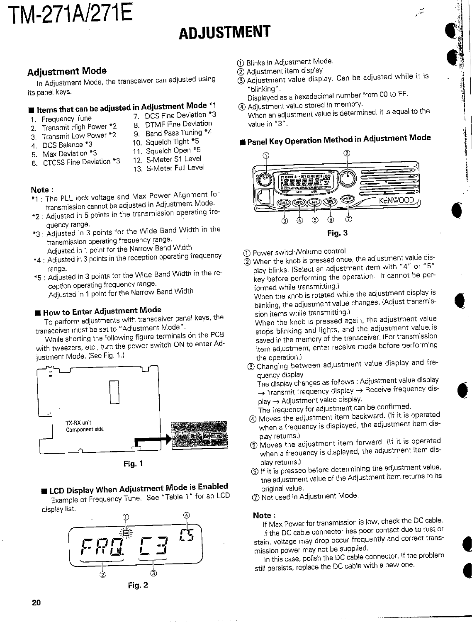# TM-271A/271E

# **ADJUSTMENT**

#### **Adjustment Mode**

In Adjustment Mode, the transceiver can adjusted using its panel keys.

### **If thems that can be adjusted in Adjustment Mode \*1**

- 1. Frequency Tune
- 7. DCS Fine Deviation \*3 8. DTMF Fine Deviation
- 2. Transmit High Power \*2 Transmit Low Power \*2
- 9. Band Pass Tuning \*4
- $\mathbf{3}$ 4. DCS Balance \*3
- 10. Squelch Tight \*5
- 5. Max Deviation \*3
- 11. Squelch Open \*5
- 6. CTCSS Fine Deviation \*3
- 12. S-Meter S1 Level 13. S-Meter Full Level

#### Note:

- \*1 : The PLL lock voltage and Max Power Alignment for transmission cannot be adjusted in Adjustment Mode.
- \*2 : Adjusted in 5 points in the transmission operating frequency range.
- \*3 : Adjusted in 3 points for the Wide Band Width in the transmission operating frequency range. Adjusted in 1 point for the Narrow Band Width
- \*4: Adjusted in 3 points in the reception operating frequency range.
- \*5 : Adjusted in 3 points for the Wide Band Width in the reception operating frequency range. Adjusted in 1 point for the Narrow Band Width

#### How to Enter Adjustment Mode

To perform adjustments with transceiver panel keys, the transceiver must be set to "Adjustment Mode".

While shorting the following figure terminals on the PCB with tweezers, etc., turn the power switch ON to enter Adjustment Mode. (See Fig. 1.)



Fig. 1

**ELCD Display When Adjustment Mode is Enabled** 

Example of Frequency Tune. See "Table 1" for an LCD display list.



- 1 Blinks in Adjustment Mode.
- 2 Adjustment item display
- 5 Adjustment value display. Can be adjusted while it is "blinking".

تتأر

Displayed as a hexadecimal number from 00 to FF. 4 Adjustment value stored in memory.

When an adjustment value is determined, it is equal to the value in "3".

### ■ Panel Key Operation Method in Adjustment Mode



- 
- 1 Power switch/Volume control 2 When the knob is pressed once, the adjustment value dis-
- play blinks. (Select an adjustment item with "4" or "5" key before performing the operation. It cannot be performed while transmitting.)

When the knob is rotated while the adjustment display is blinking, the adjustment value changes. (Adjust transmission items while transmitting.)

When the knob is pressed again, the adjustment value stops blinking and lights, and the adjustment value is saved in the memory of the transceiver. (For transmission item adjustment, enter receive mode before performing the operation.)

3 Changing between adjustment value display and frequency display

The display changes as follows : Adjustment value display > Transmit frequency display > Receive frequency display -> Adjustment value display.

The frequency for adjustment can be confirmed.

- 4) Moves the adjustment item backward. (If it is operated when a frequency is displayed, the adjustment item display returns.)
- 5 Moves the adjustment item forward. (If it is operated when a frequency is displayed, the adjustment item display returns.)
- 6 If it is pressed before determining the adjustment value, the adjustment value of the Adjustment item returns to its original value.
- 7 Not used in Adjustment Mode.

#### Note:

If Max Power for transmission is low, check the DC cable. If the DC cable connector has poor contact due to rust or stain, voltage may drop occur frequently and correct transmission power may not be supplied.

In this case, polish the DC cable connector. If the problem still persists, replace the DC cable with a new one.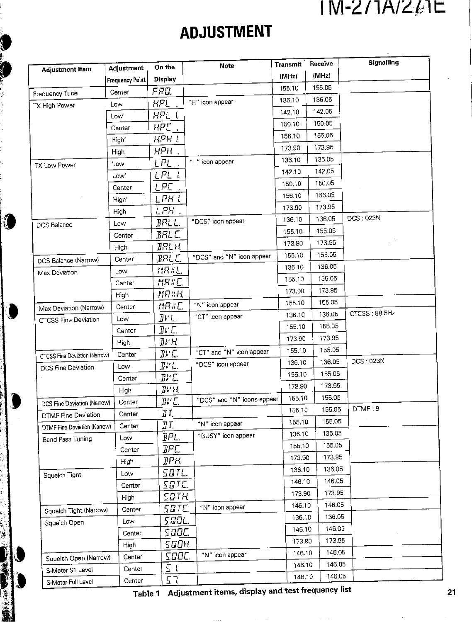## $1$ M-2/7A/2 $\ell$ 7E

# **ADJUSTMENT**

**TANK AND STREET** 

0

5000 新疆元

| Adjustment Item               | Adjustment              | On the               | <b>Note</b>                | <b>Transmit</b> | Receive | Signalling       |
|-------------------------------|-------------------------|----------------------|----------------------------|-----------------|---------|------------------|
|                               | <b>Frequency Point!</b> | <b>Display</b>       |                            | (MHz)           | (MHz)   |                  |
|                               | Center                  | FRQ                  |                            | 155.10          | 155.05  |                  |
| Frequency Tune                | Low                     | HPL                  | "H" icon appear            | 136.10          | 136.05  |                  |
| TX High Power                 | Low'                    | HPL L                |                            | 142.10          | 142.05  |                  |
|                               | Center                  | HPE .                |                            | 150.10          | 150.05  |                  |
|                               | High'                   | НРН Г                |                            | 156.10          | 156.05  |                  |
|                               | High                    | HPH .                |                            | 173.90          | 173.95  |                  |
|                               | Low                     | LPL.                 | "L" icon appear            | 136.10          | 136.05  |                  |
| TX Low Power                  | Low'                    | <u>LPL L</u>         |                            | 142.10          | 142.05  |                  |
|                               | Center                  | LPE.                 |                            | 150.10          | 150.05  |                  |
|                               | High'                   | LPH L                |                            | 156.10          | 156.05  |                  |
|                               | High                    | LPH.                 |                            | 173.90          | 173.95  |                  |
|                               |                         | $BRL$ $L$            | "DCS" icon appear          | 136.10          | 136.05  | <b>DCS: 023N</b> |
| <b>DCS Balance</b>            | Low                     | BRL E                |                            | 155.10          | 155.05  |                  |
|                               | Center                  | $BRL$ $H$            |                            | 173.90          | 173.95  |                  |
|                               | High                    | BRL E.               | "DCS" and "N" icon appear  | 155.10          | 155.05  |                  |
| DCS Balance (Narrow)          | Center                  | MR#L.                |                            | 136.10          | 136.05  |                  |
| Max Deviation                 | Low<br>Center           | MR#E.                |                            | 155.10          | 155.05  |                  |
|                               |                         | MR#H                 |                            | 173.90          | 173.95  |                  |
|                               | High<br>Center          | MR#C.                | "N" icon appear            | 155.10          | 155.05  |                  |
| Max Deviation (Narrow)        |                         | JVL.                 | "CT" icon appear           | 136.10          | 136.05  | CTCSS: 88.5Hz    |
| CTCSS Fine Deviation          | Low                     | ]] 'II               |                            | 155.10          | 155.05  |                  |
|                               | Center                  | ]]PH                 |                            | 173.90          | 173.95  |                  |
|                               | High<br>Center          | שיע.                 | "CT" and "N" icon appear   | 155.10          | 155.05  |                  |
| CTCSS Fine Deviation (Narrow) | Low                     | ∄ŀ'L.                | "DCS" icon appear          | 136.10          | 136.05  | DCS: 023N        |
| DCS Fine Deviation            | Center                  | JVC.                 |                            | 155,10          | 155.05  |                  |
|                               |                         | BFR                  |                            | 173.90          | 173.95  |                  |
|                               | <b>High</b>             | ת יות                | "DCS" and "N" icons appear | 155.10          | 155.05  |                  |
| DCS Fine Deviation (Narrow)   | Center                  | IT.                  |                            | 155.10          | 155.05  | DTMF: 9          |
| DTMF Fine Deviation           | Center.<br>Center       | $I\!\!J$ $\bar{I}$ . | "N" icon appear            | 155.10          | 155.05  |                  |
| DTMF Fine Deviation (Narrow)  |                         | BPL.                 | "BUSY" icon appear         | 136.10          | 136.05  |                  |
| Band Pass Tuning              | Low<br>Center           | BPC.                 |                            | 155.10          | 155.05  |                  |
|                               |                         | BPH.                 |                            | 173.90          | 173.95  |                  |
|                               | High                    | SOTL.                |                            | 136.10          | 136.05  |                  |
| Squeich Tight                 | Low                     | SQTE.                |                            | 146.10          | 146.05  |                  |
|                               | Center                  | SOTH.                |                            | 173.90          | 173.95  |                  |
|                               | High                    | SOTE.                | "N" icon appear            | 146.10          | 146.05  |                  |
| Squelch Tight (Narrow)        | Center                  | SOOL.                |                            | 136,10          | 136.05  |                  |
| Squeich Open                  | Low                     | SOOC.                |                            | 146.10          | 146.05  |                  |
|                               | Center                  | SGOK                 |                            | 173.90          | 173.95  |                  |
|                               | High                    |                      | "N" icon appear            | 146.10          | 146.05  |                  |
| Squelch Open (Narrow)         | Center                  | 500C.                |                            | 146.10          | 146.05  |                  |
| S-Meter S1 Level              | Center                  | 5 I                  |                            | 146.10          | 146.05  |                  |
| S-Meter Full Level            | Center                  | 57                   |                            |                 |         |                  |

Table 1 Adjustment items, display and test frequency list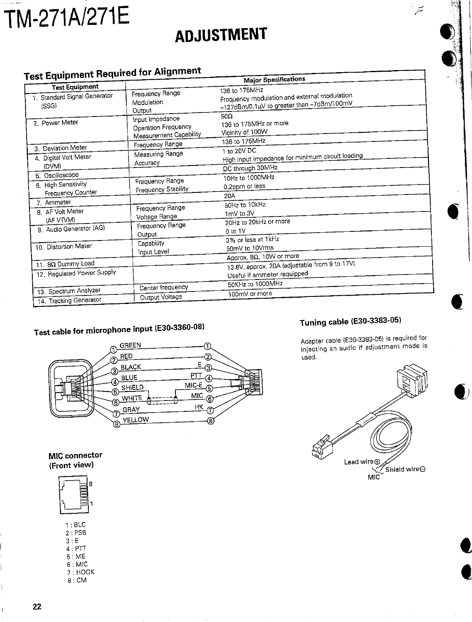# TM-271A/271E

# **ADJUSTMENT**

#### **Test Equipment Required for Alignment**

| 621 Edabulan, 1123.                                            |                                                            | <b>Major Specifications</b>                                                                                              |
|----------------------------------------------------------------|------------------------------------------------------------|--------------------------------------------------------------------------------------------------------------------------|
| <b>Test Equipment</b><br>1. Standard Signal Generator<br>(SSG) | Frequency Range<br>Modulation<br>Output<br>Input Impedance | 136 to 175MHz<br>Frequency modulation and external modulation<br>-127dBm/0.1µV to greater than -7dBm/100mV<br>$50\Omega$ |
| 2. Power Meter                                                 | Operation Frequency<br>Measurement Capability              | 136 to 175MHz or more<br>Vicinity of 100W<br>136 to 175MHz                                                               |
| 3. Deviation Meter                                             | Frequency Range                                            | 1 to 20V DC                                                                                                              |
| 4. Digital Volt Meter<br>(DVM)                                 | Measuring Range<br>Accuracy                                | High input impedance for minimum circuit loading<br>DC through 30MHz                                                     |
| 5. Oscilloscope                                                |                                                            | 10Hz to 1000MHz                                                                                                          |
| 6. High Sensitivity<br>Frequency Counter                       | Frequency Range<br><b>Frequency Stability</b>              | 0.2ppm or less                                                                                                           |
| 7. Ammeter                                                     |                                                            | 20A<br>50Hz to 10kHz                                                                                                     |
| 8. AF Volt Meter<br>(AF VTVM)                                  | Frequency Range<br>Voltage Range                           | 1mV to 3V                                                                                                                |
| 9. Audio Generator (AG)                                        | Frequency Range<br>Output                                  | 20Hz to 20kHz or more<br>0 to 1V                                                                                         |
| 10. Distortion Meter                                           | Capability<br>Input Level                                  | 3% or less at 1kHz<br>50mV to 10Vrms<br>Approx. $8\Omega$ , 10W or more                                                  |
| 11. 80 Dummy Load                                              |                                                            | 13.8V, approx. 20A (adjustable from 9 to 17V)                                                                            |
| 12. Regulated Power Supply                                     |                                                            | Useful if ammeter requipped                                                                                              |
| 13. Spectrum Analyzer                                          | Center frequency                                           | 50KHz to 1000MHz                                                                                                         |
| 14 Tracking Generator                                          | Output Voltage                                             | 100mV or more                                                                                                            |

### Test cable for microphone input (E30-3360-08)



### Tuning cable (E30-3383-05)

Adapter cable (E30-3383-05) is required for injecting an audio if adjustment mode is used.

ف<br>میتم



#### MIC connector (Front view)

|   |        | 8 |
|---|--------|---|
|   |        |   |
| A | Ε<br>э |   |

| ▏∶DLV    |
|----------|
| 2 : PSB  |
| 3 · E    |
| 4 : PTT  |
| 5 : ME   |
| 6 : MIC  |
| 7 : HOOK |
| 8 : CM   |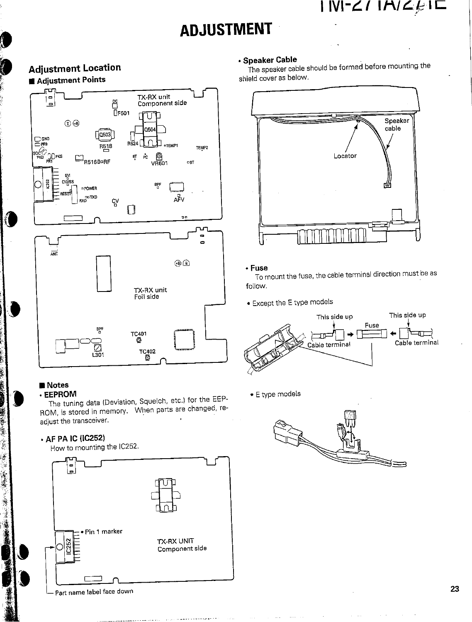$1$  M-27  $1$ A/2 $\cancel{\varepsilon}$ 15

## **ADJUSTMENT**

#### **Adjustment Location** Adjustment Points TX-RX unit 00<br>□F501 Component side e Γ lΙ  $\bigoplus$ 150  $0503$  $D_{\text{MR}}$ **R524** R<sub>518</sub>  $\begin{bmatrix} \overbrace{\begin{matrix} \overbrace{\begin{matrix} 0 \\ PKB \end{matrix}} \end{bmatrix}}^{SQ} \begin{bmatrix} \overbrace{\begin{matrix} 0 \\ PRB \end{matrix}} \end{bmatrix}}^{PRS} \end{bmatrix}$ TEMP2 O<br>VR601 BŢ Рc  $\Box_{\text{R51610RF}}$  $087$ Ē BŖ **¤POWER** סאדי **AFV** ςγ Π  $\overline{a}$  $\blacksquare$ ÷,  $\overline{M}$  $\oplus$ TX-RX unit Foil side BPF TC401<br>◎  $\overline{\text{S}}_3$ **TC402** Ö

#### ■ Notes

籌

梅花草

÷,

「大きいのです」という、「大きいのです」

· EEPROM The tuning data (Deviation, Squelch, etc.) for the EEP-ROM, is stored in memory. When parts are changed, readjust the transceiver.

#### • AF PA IC (IC252)

How to mounting the IC252.



#### · Speaker Cable

The speaker cable should be formed before mounting the shield cover as below.



#### • Fuse

To mount the fuse, the cable terminal direction must be as follow.

• Except the E type models



· E type models

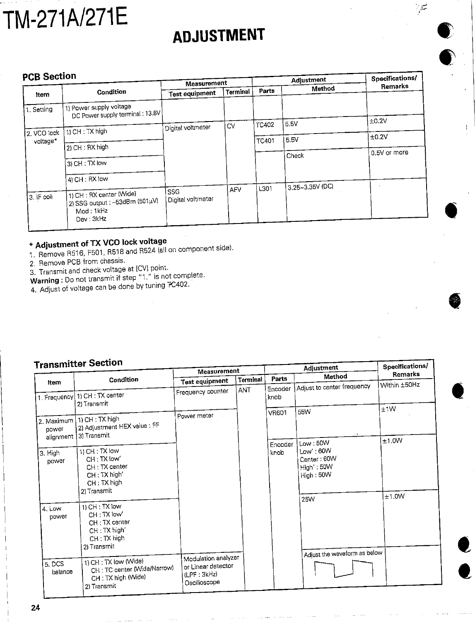# TM-271A/271E

# **ADJUSTMENT**

فيتريخ

#### **PCB Section**

| <b>PCB Section</b> |                                                                                      | Measurement           |            | Adjustment   |                 | Specifications/ |
|--------------------|--------------------------------------------------------------------------------------|-----------------------|------------|--------------|-----------------|-----------------|
| Item               | Condition                                                                            | <b>Test equipment</b> | Terminal   | Parts        | Method          | Remarks         |
| 1. Setting         | 1) Power supply voltage<br>DC Power supply terminal: 13.8V                           |                       |            |              |                 |                 |
|                    |                                                                                      |                       | CV         | <b>TC402</b> | 5.5V            | ±0.2V           |
| 2. VCO lock        | 11 CH: TX high                                                                       | Digital voltmeter     |            |              |                 | ±0.2V           |
| voltage*           | 2) CH : RX high                                                                      |                       |            | TC401        | 5.5V            |                 |
|                    |                                                                                      |                       |            |              | Check           | 0.5V or more    |
|                    | $ 3 $ CH : TX low                                                                    |                       |            |              |                 |                 |
|                    | 4) CH : RX low                                                                       |                       |            |              |                 |                 |
|                    |                                                                                      | SSG                   | <b>AFV</b> | L301         | 3.25~3.35V (DC) |                 |
| 3. IF coil         | 1) CH : RX center (Wide)<br>2) SSG output : –53dBm (501µV)<br>Mod: 1kHz<br>Dev: 3kHz | Digital voltmeter     |            |              |                 |                 |

### \* Adjustment of TX VCO lock voltage

1. Remove R516, F501, R518 and R524 (all on component side).

2. Remove PCB from chassis.

3. Transmit and check voltage at [CV] point.

Warning: Do not transmit if step "1." is not complete.

4. Adjust of voltage can be done by tuning TC402.

#### **nomittor Section**

| ייסטיס והוונגרומן ו           |                                                                                               | Measurement                                                                                   |            |                 | Specifications/                                               |                |
|-------------------------------|-----------------------------------------------------------------------------------------------|-----------------------------------------------------------------------------------------------|------------|-----------------|---------------------------------------------------------------|----------------|
| Item                          | Condition                                                                                     | Test equipment                                                                                | Terminal   | Parts           | Method                                                        | Remarks        |
|                               | 1. Frequency 1) CH : TX center                                                                | Frequency counter                                                                             | <b>ANT</b> | Encoder<br>knob | Adjust to center frequency                                    | Within ±50Hz   |
| 2. Maximum<br>power           | 2) Transmit<br>1) CH: TX high<br>2) Adjustment HEX value : FF<br>3) Transmit                  | Power meter                                                                                   |            | <b>VR601</b>    | 55W                                                           | ±1W            |
| alignment<br>3. High<br>power | 1) CH: TX low<br>CH: TX low'<br>CH: TX center<br>CH: TX high'<br>$CH: TX$ high<br>2) Transmit |                                                                                               |            | Encoder<br>knob | Low:50W<br>Low':60W<br>Center: 60W<br>High': 50W<br>High: 50W | ±1.0W<br>±1.0W |
| $4.$ Low<br>power             | 1) CH: TX low<br>CH: TX low'<br>CH: TX center<br>CH: TX high'<br>CH: TX high<br>2) Transmit   |                                                                                               |            |                 | 25W<br>Adjust the waveform as below                           |                |
| 5.DCS<br>balance              | 1) CH: TX low (Wide)<br>CH: TC center (Wide/Narrow)<br>CH: TX high (Wide)<br>2) Transmit      | Modulation analyzer<br>or Linear detector<br>$(\mathsf{LPF} : 3\mathsf{kHz})$<br>Oscilloscope |            |                 |                                                               |                |

 $24$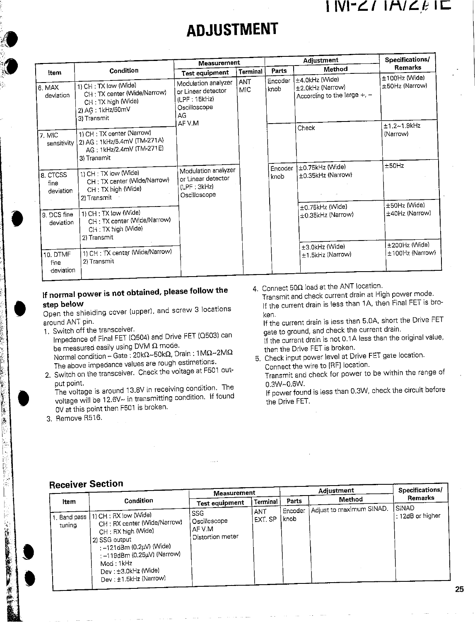### $|$   $N$   $\leq$   $\ell$   $|$   $\sqcap$   $\vee$   $\ell$   $\sqsubset$

# **ADJUSTMENT**

|                               |                                                                                                              | Measurement                                                                    |                 |                 | Adjustment                                                             | Specifications/                  |
|-------------------------------|--------------------------------------------------------------------------------------------------------------|--------------------------------------------------------------------------------|-----------------|-----------------|------------------------------------------------------------------------|----------------------------------|
| Item                          | Condition                                                                                                    | <b>Test equipment</b>                                                          | <b>Terminal</b> | Parts           | Method                                                                 | Remarks                          |
| 6. MAX<br>deviation           | 1) CH: TX low (Wide)<br>CH: TX center (Wide/Narrow)<br>CH: TX high (Wide)<br>2) AG: 1kHz/50mV<br>3) Transmit | Modulation analyzer<br>or Linear detector<br>(LPF:15kHz)<br>Oscilloscope<br>AG | ANT<br>MIC      | Encoder<br>knob | ±4.0kHz (Wide)<br>±2.0kHz (Narrow)<br>According to the large $+$ , $-$ | ±100Hz (Wide)<br>±50Hz (Narrow)  |
| 7. MIC<br>sensitivity         | 1) CH: TX center (Narrow)<br>2) AG: 1kHz/5.4mV (TM-271A)<br>AG: 1kHz/2.4mV (TM-271E)<br>3) Transmit          | AF V.M                                                                         |                 |                 | Check                                                                  | ±1.2~1.9kHz<br>(Narrow)          |
| 8. CTCSS<br>fine<br>deviation | 1) CH: TX low (Wide)<br>CH: TX center (Wide/Narrow)<br>CH: TX high (Wide)<br>2) Transmit                     | Modulation analyzer<br>or Linear detector<br>(LPF:3kHz)<br>Oscilloscope        |                 | Encoder<br>knob | ±0.75kHz (Wide)<br>±0.35kHz (Narrow)<br>$\mathcal{N}$                  | ±50Hz<br>±50Hz (Wide)            |
| 9. DCS fine<br>deviation      | 1) CH : TX low (Wide)<br>CH: TX center (Wide/Narrow)<br>CH: TX high (Wide)<br>2) Transmit                    |                                                                                |                 |                 | ±0.75kHz (Wide)<br>±0.35kHz (Narrow)                                   | $\pm 40$ Hz (Narrow)             |
| 10. DTMF<br>fine<br>deviation | 1) CH: TX center (Wide/Narrow)<br>2) Transmit                                                                |                                                                                |                 |                 | $\pm 3.0$ kHz (Wide)<br>±1.5kHz (Narrow)                               | ±200Hz (Wide)<br>±100Hz (Narrow) |

#### If normal power is not obtained, please follow the step below

Open the shielding cover (upper), and screw 3 locations around ANT pin.

- 1. Switch off the transceiver.
- Impedance of Final FET (Q504) and Drive FET (Q503) can be measured easily using DVM  $\Omega$  mode. Normal condition - Gate: 20k $\Omega$ ~50k $\Omega$ , Drain: 1M $\Omega$ ~2M $\Omega$
- The above impedance values are rough estimations. 2. Switch on the transceiver. Check the voltage at F501 out-

put point. The voltage is around 13.8V in receiving condition. The voltage will be 12.6V~ in transmitting condition. If found OV at this point then F501 is broken.

3. Remove R516.

医子宫遗产

k

( ) 冷静的复数

東海海

4. Connect 50 $\Omega$  load at the ANT location.

Transmit and check current drain at High power mode. If the current drain is less than 1A, then Final FET is broken.

If the current drain is less than 5.0A, short the Drive FET gate to ground, and check the current drain. If the current drain is not 0.1A less than the original value, then the Drive FET is broken.

5. Check input power level at Drive FET gate location. Connect the wire to [RF] location.

Transmit and check for power to be within the range of  $0.3W - 0.6W$ .

If power found is less than 0.3W, check the circuit before the Drive FET.

#### **Receiver Section**

| .                        |                                                                                                                                                                                                                        | Measurement                                       |                 |                  | Adjustment               | Specifications/            |
|--------------------------|------------------------------------------------------------------------------------------------------------------------------------------------------------------------------------------------------------------------|---------------------------------------------------|-----------------|------------------|--------------------------|----------------------------|
| Item                     | Condition                                                                                                                                                                                                              | Test equipment                                    | Terminal        | Parts            | Method                   | Remarks                    |
| 1. Band pass 1<br>tuning | 11) CH: RX low (Wide)<br>CH: RX center (Wide/Narrow)<br>CH : RX high (Wide)<br>2) SSG output<br>: –121dBm (0.2μV) (Wide)<br>: -119dBm (0.25µV) (Narrow)<br>Mod : 1kHz<br>Dev : ±3.0kHz (Wide)<br>Dev: ±1.5kHz (Narrow) | SSG<br>Oscilloscope<br>AF V M<br>Distortion meter | ANT.<br>EXT. SP | 'Encoder<br>knob | Adjust to maximum SINAD. | SINAD<br>I: 12dB or higher |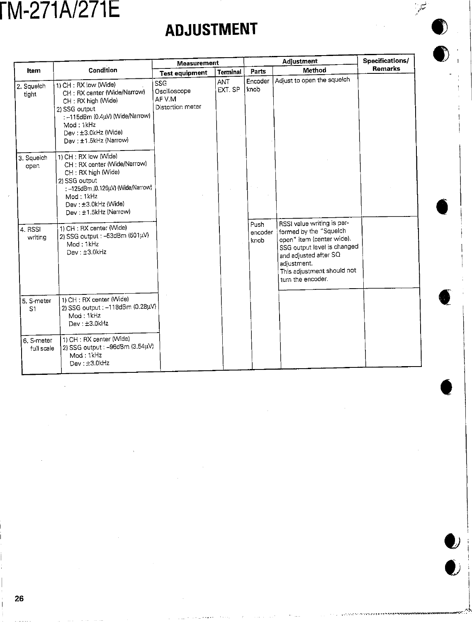# **M-271A/271E**

# **ADJUSTMENT**

ن<br>سور

 $\boldsymbol{\nu}$ 

 $\mathcal{L}$ 

|                              |                                                                                                                                                                                              | <b>Measurement</b>                                |                 |                         | Adjustment                                                                                                                                                                                                  | Specifications/ |
|------------------------------|----------------------------------------------------------------------------------------------------------------------------------------------------------------------------------------------|---------------------------------------------------|-----------------|-------------------------|-------------------------------------------------------------------------------------------------------------------------------------------------------------------------------------------------------------|-----------------|
| Item                         | Condition                                                                                                                                                                                    | <b>Test equipment</b>                             | <b>Terminal</b> | Parts                   | Method                                                                                                                                                                                                      | Remarks         |
| 2. Squelch<br>tight          | 1) CH: RX low (Wide)<br>CH: RX center (Wide/Narrow)<br>CH: RX high (Wide)<br>2) SSG output<br>: -115dBm (0.4µV) (Wide/Narrow)<br>Mod: 1kHz<br>Dev: ±3.0kHz (Wide)<br>Dev : ±1.5kHz (Narrow)  | SSG<br>Oscilloscope<br>AF V.M<br>Distortion meter | ANT<br>EXT. SP  | Encoder<br>knob         | Adjust to open the squeich                                                                                                                                                                                  |                 |
| 3. Squeich<br>open           | 1) CH: RX low (Wide)<br>CH: RX center (Wide/Narrow)<br>CH: RX high (Wide)<br>2) SSG output<br>: -125dBm (0.126µV) (Wide/Narrow)<br>Mod: 1kHz<br>Dev: ±3.0kHz (Wide)<br>Dev: ±1.5kHz (Narrow) |                                                   |                 |                         |                                                                                                                                                                                                             |                 |
| 4. RSSI<br>writing           | 1) CH : RX center (Wide)<br>2) SSG output : - 53dBm (501µV)<br>Mod: 1kHz<br>Dev: ±3.0kHz                                                                                                     |                                                   |                 | Push<br>encoder<br>knob | RSSI value writing is per-<br>formed by the "Squelch<br>open" item (center wide).<br>SSG output level is changed<br>and adjusted after SQ<br>adjustment.<br>This adjustment should not<br>turn the encoder. |                 |
| 5. S-meter<br>S <sub>1</sub> | 1) CH : RX center (Wide)<br>2) SSG output : - 118dBm (0.28µV)<br>Mod: 1kHz<br>Dev: ±3.0kHz                                                                                                   |                                                   |                 |                         |                                                                                                                                                                                                             |                 |
| 6. S-meter<br>full scale     | 1) CH : RX center (Wide)<br>2) SSG output : - 96dBm (3.54µV)<br>Mod: 1kHz<br>Dev: ±3.0kHz                                                                                                    |                                                   |                 |                         |                                                                                                                                                                                                             |                 |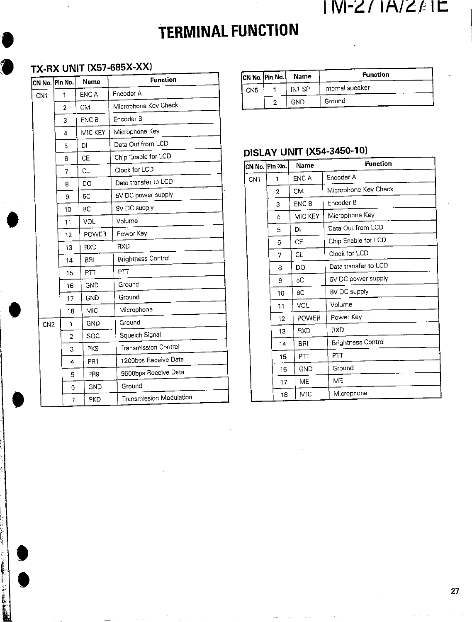### $N-Z/RAZ/\mathcal{E}$

# **TERMINAL FUNCTION**

### **TX-RX UNIT (X57-685X-XX)**

**Controller Controller** 

**CALLER AND ARTISTS** 

| CN No. Pin No.  |                | Name            | <b>Function</b>                |
|-----------------|----------------|-----------------|--------------------------------|
| CN <sub>1</sub> | 1              | ENC A           | Encoder A                      |
|                 | $\overline{2}$ | <b>CM</b>       | Microphone Key Check           |
|                 | 3              | <b>ENC B</b>    | Encoder B                      |
|                 | 4              | MIC KEY         | Microphone Key                 |
|                 | 5              | DI              | Data Out from LCD              |
|                 | 6              | CE              | Chip Enable for LCD            |
|                 | 7              | CL              | Clock for LCD                  |
|                 | 8              | DO              | Data transfer to LCD           |
|                 | 9.             | 5C              | 5V DC power supply             |
|                 | 10             | 8C              | 8V DC supply                   |
|                 | 11             | VOL             | Volume                         |
|                 | 12             | <b>POWER</b>    | Power Key                      |
|                 | 13             | <b>RXD</b>      | <b>RXD</b>                     |
|                 | 14             | <b>BRI</b>      | <b>Brightness Control</b>      |
|                 | 15             | PTT             | PTT                            |
|                 | 16             | GND             | Ground                         |
|                 | 17             | GND             | Ground                         |
|                 | 18             | MIC             | Microphone                     |
| CN <sub>2</sub> | 1              | <b>GND</b>      | Ground                         |
|                 | $\overline{2}$ | SQC             | Squeich Signal                 |
|                 | 3              | <b>PKS</b>      | <b>Transmission Control</b>    |
|                 | 4              | PR1             | 1200bps Receive Data           |
|                 | 5              | PR <sub>9</sub> | 9600bps Receive Data           |
|                 | 6              | GND             | Ground                         |
|                 | 7              | PKD             | <b>Transmission Modulation</b> |

|                 | CN No. Pin No. | Name   | <b>Function</b>  |
|-----------------|----------------|--------|------------------|
| CN <sub>5</sub> |                | INT SP | Internal speaker |
|                 |                | GND    | Ground           |

### **DISLAY UNIT (X54-3450-10)**

|                 | CN No. Pin No. | Name         | <b>Function</b>           |
|-----------------|----------------|--------------|---------------------------|
| CN <sub>1</sub> | 1              | ENC A        | Encoder A                 |
|                 | 2              | CM           | Microphone Key Check      |
|                 | 3              | <b>ENC B</b> | Fncoder B                 |
|                 | 4              | MIC KEY      | Microphone Key            |
|                 | 5              | DI           | Data Out from LCD         |
|                 | 6              | <b>CE</b>    | Chip Enable for LCD       |
|                 | 7              | CL           | Clock for LCD             |
|                 | 8              | DO           | Data transfer to LCD      |
|                 | 9              | 5C           | 5V DC power supply        |
|                 | 10             | 8C           | 8V DC supply              |
|                 | 11             | VOL          | Volume                    |
|                 | 12             | <b>POWER</b> | Power Key                 |
|                 | 13             | <b>RXD</b>   | <b>RXD</b>                |
|                 | 14             | BRI          | <b>Brightness Control</b> |
|                 | 15             | PΠ           | PΠ                        |
|                 | 16             | GND          | Ground                    |
|                 | 17             | ME           | ME                        |
|                 | 18             | MIC          | Microphone                |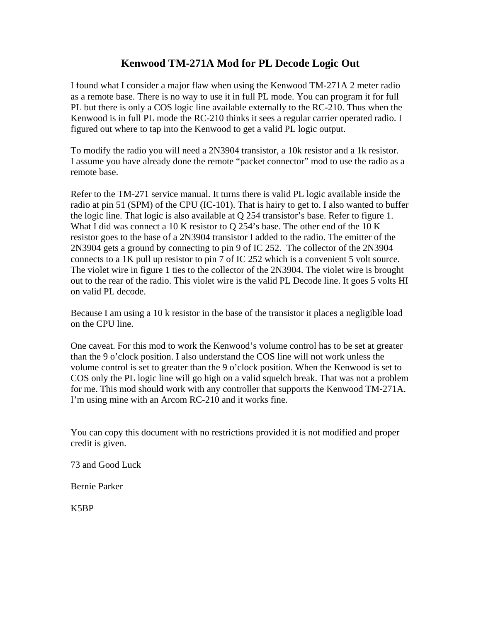#### **Kenwood TM-271A Mod for PL Decode Logic Out**

I found what I consider a major flaw when using the Kenwood TM-271A 2 meter radio as a remote base. There is no way to use it in full PL mode. You can program it for full PL but there is only a COS logic line available externally to the RC-210. Thus when the Kenwood is in full PL mode the RC-210 thinks it sees a regular carrier operated radio. I figured out where to tap into the Kenwood to get a valid PL logic output.

To modify the radio you will need a 2N3904 transistor, a 10k resistor and a 1k resistor. I assume you have already done the remote "packet connector" mod to use the radio as a remote base.

Refer to the TM-271 service manual. It turns there is valid PL logic available inside the radio at pin 51 (SPM) of the CPU (IC-101). That is hairy to get to. I also wanted to buffer the logic line. That logic is also available at Q 254 transistor's base. Refer to figure 1. What I did was connect a 10 K resistor to Q 254's base. The other end of the 10 K resistor goes to the base of a 2N3904 transistor I added to the radio. The emitter of the 2N3904 gets a ground by connecting to pin 9 of IC 252. The collector of the 2N3904 connects to a 1K pull up resistor to pin 7 of IC 252 which is a convenient 5 volt source. The violet wire in figure 1 ties to the collector of the 2N3904. The violet wire is brought out to the rear of the radio. This violet wire is the valid PL Decode line. It goes 5 volts HI on valid PL decode.

Because I am using a 10 k resistor in the base of the transistor it places a negligible load on the CPU line.

One caveat. For this mod to work the Kenwood's volume control has to be set at greater than the 9 o'clock position. I also understand the COS line will not work unless the volume control is set to greater than the 9 o'clock position. When the Kenwood is set to COS only the PL logic line will go high on a valid squelch break. That was not a problem for me. This mod should work with any controller that supports the Kenwood TM-271A. I'm using mine with an Arcom RC-210 and it works fine.

You can copy this document with no restrictions provided it is not modified and proper credit is given.

73 and Good Luck

Bernie Parker

K5BP